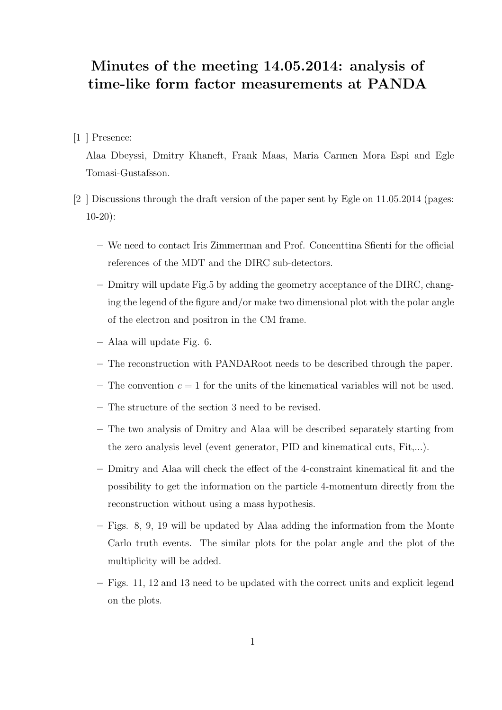## Minutes of the meeting 14.05.2014: analysis of time-like form factor measurements at PANDA

## [1 ] Presence:

Alaa Dbeyssi, Dmitry Khaneft, Frank Maas, Maria Carmen Mora Espi and Egle Tomasi-Gustafsson.

- [2 ] Discussions through the draft version of the paper sent by Egle on 11.05.2014 (pages: 10-20):
	- We need to contact Iris Zimmerman and Prof. Concenttina Sfienti for the official references of the MDT and the DIRC sub-detectors.
	- Dmitry will update Fig.5 by adding the geometry acceptance of the DIRC, changing the legend of the figure and/or make two dimensional plot with the polar angle of the electron and positron in the CM frame.
	- Alaa will update Fig. 6.
	- The reconstruction with PANDARoot needs to be described through the paper.
	- The convention  $c = 1$  for the units of the kinematical variables will not be used.
	- The structure of the section 3 need to be revised.
	- The two analysis of Dmitry and Alaa will be described separately starting from the zero analysis level (event generator, PID and kinematical cuts, Fit,...).
	- Dmitry and Alaa will check the effect of the 4-constraint kinematical fit and the possibility to get the information on the particle 4-momentum directly from the reconstruction without using a mass hypothesis.
	- Figs. 8, 9, 19 will be updated by Alaa adding the information from the Monte Carlo truth events. The similar plots for the polar angle and the plot of the multiplicity will be added.
	- Figs. 11, 12 and 13 need to be updated with the correct units and explicit legend on the plots.